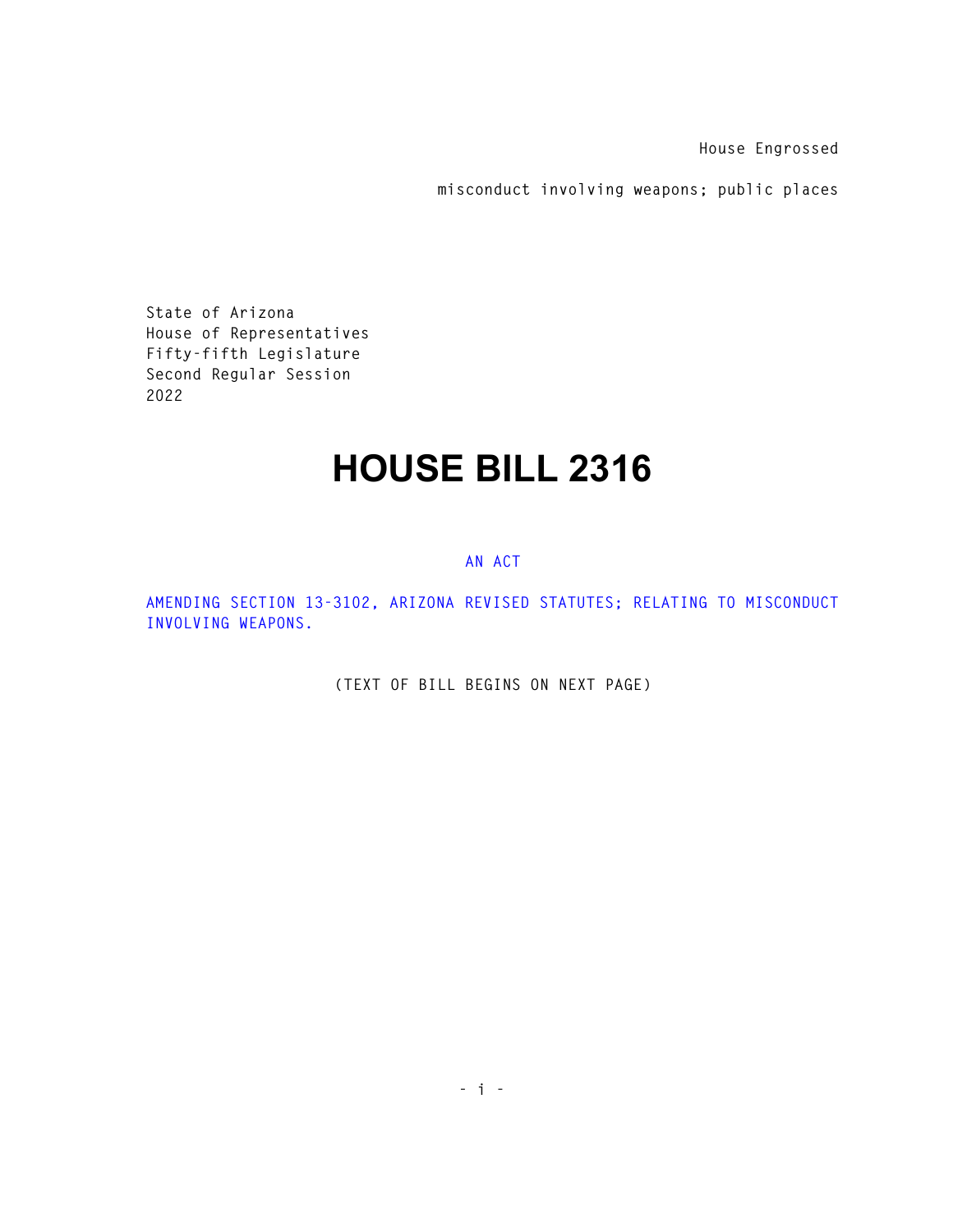**House Engrossed** 

**misconduct involving weapons; public places** 

**State of Arizona House of Representatives Fifty-fifth Legislature Second Regular Session 2022** 

## **HOUSE BILL 2316**

## **AN ACT**

**AMENDING SECTION 13-3102, ARIZONA REVISED STATUTES; RELATING TO MISCONDUCT INVOLVING WEAPONS.** 

**(TEXT OF BILL BEGINS ON NEXT PAGE)**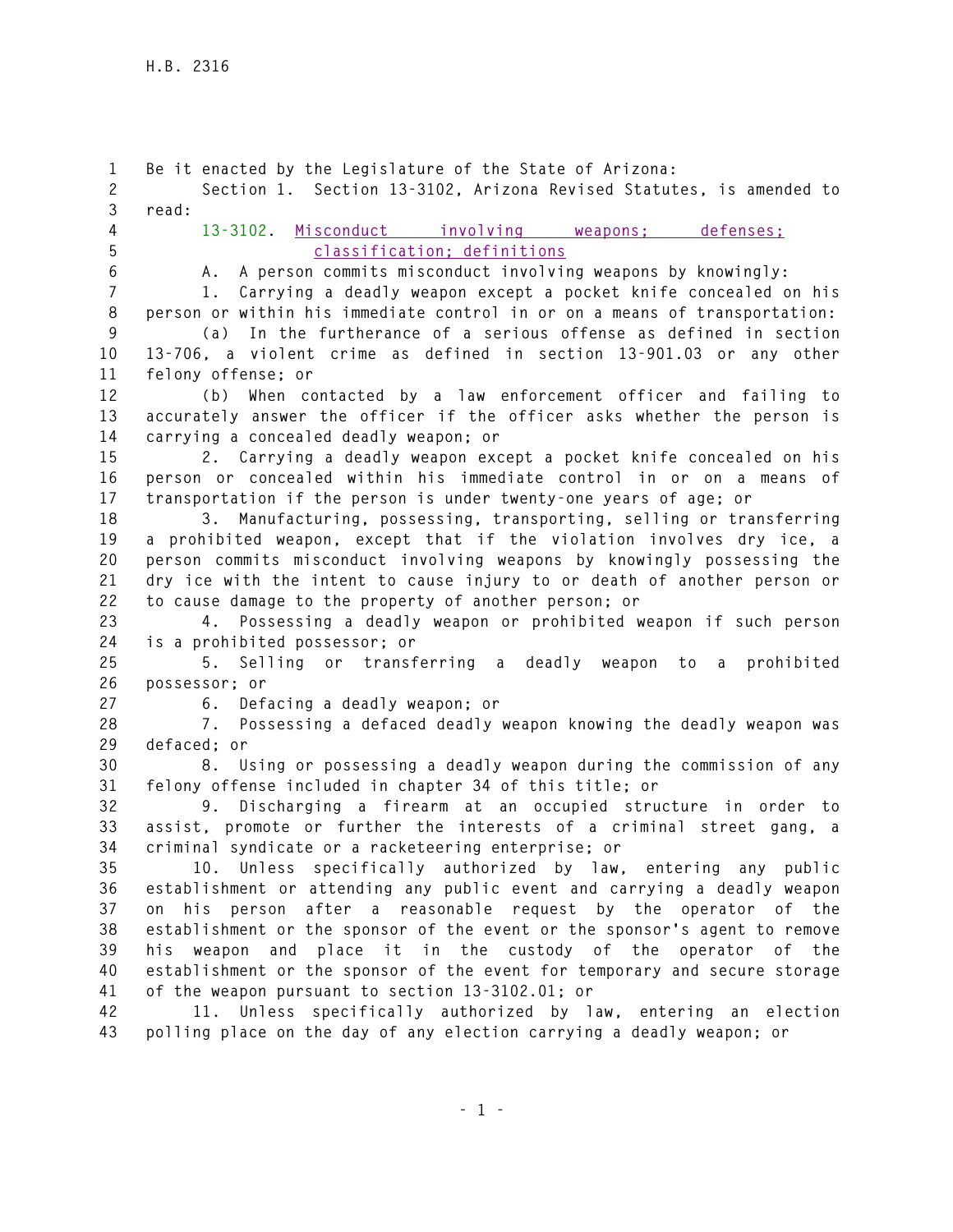**1 Be it enacted by the Legislature of the State of Arizona: 2 Section 1. Section 13-3102, Arizona Revised Statutes, is amended to 3 read: 4 13-3102. Misconduct involving weapons; defenses; 5 classification; definitions 6 A. A person commits misconduct involving weapons by knowingly: 7 1. Carrying a deadly weapon except a pocket knife concealed on his 8 person or within his immediate control in or on a means of transportation: 9 (a) In the furtherance of a serious offense as defined in section 10 13-706, a violent crime as defined in section 13-901.03 or any other 11 felony offense; or 12 (b) When contacted by a law enforcement officer and failing to 13 accurately answer the officer if the officer asks whether the person is 14 carrying a concealed deadly weapon; or 15 2. Carrying a deadly weapon except a pocket knife concealed on his 16 person or concealed within his immediate control in or on a means of 17 transportation if the person is under twenty-one years of age; or 18 3. Manufacturing, possessing, transporting, selling or transferring 19 a prohibited weapon, except that if the violation involves dry ice, a 20 person commits misconduct involving weapons by knowingly possessing the 21 dry ice with the intent to cause injury to or death of another person or 22 to cause damage to the property of another person; or 23 4. Possessing a deadly weapon or prohibited weapon if such person 24 is a prohibited possessor; or 25 5. Selling or transferring a deadly weapon to a prohibited 26 possessor; or 27 6. Defacing a deadly weapon; or 28 7. Possessing a defaced deadly weapon knowing the deadly weapon was 29 defaced; or 30 8. Using or possessing a deadly weapon during the commission of any 31 felony offense included in chapter 34 of this title; or 32 9. Discharging a firearm at an occupied structure in order to 33 assist, promote or further the interests of a criminal street gang, a 34 criminal syndicate or a racketeering enterprise; or 35 10. Unless specifically authorized by law, entering any public 36 establishment or attending any public event and carrying a deadly weapon 37 on his person after a reasonable request by the operator of the 38 establishment or the sponsor of the event or the sponsor's agent to remove 39 his weapon and place it in the custody of the operator of the 40 establishment or the sponsor of the event for temporary and secure storage 41 of the weapon pursuant to section 13-3102.01; or 42 11. Unless specifically authorized by law, entering an election 43 polling place on the day of any election carrying a deadly weapon; or**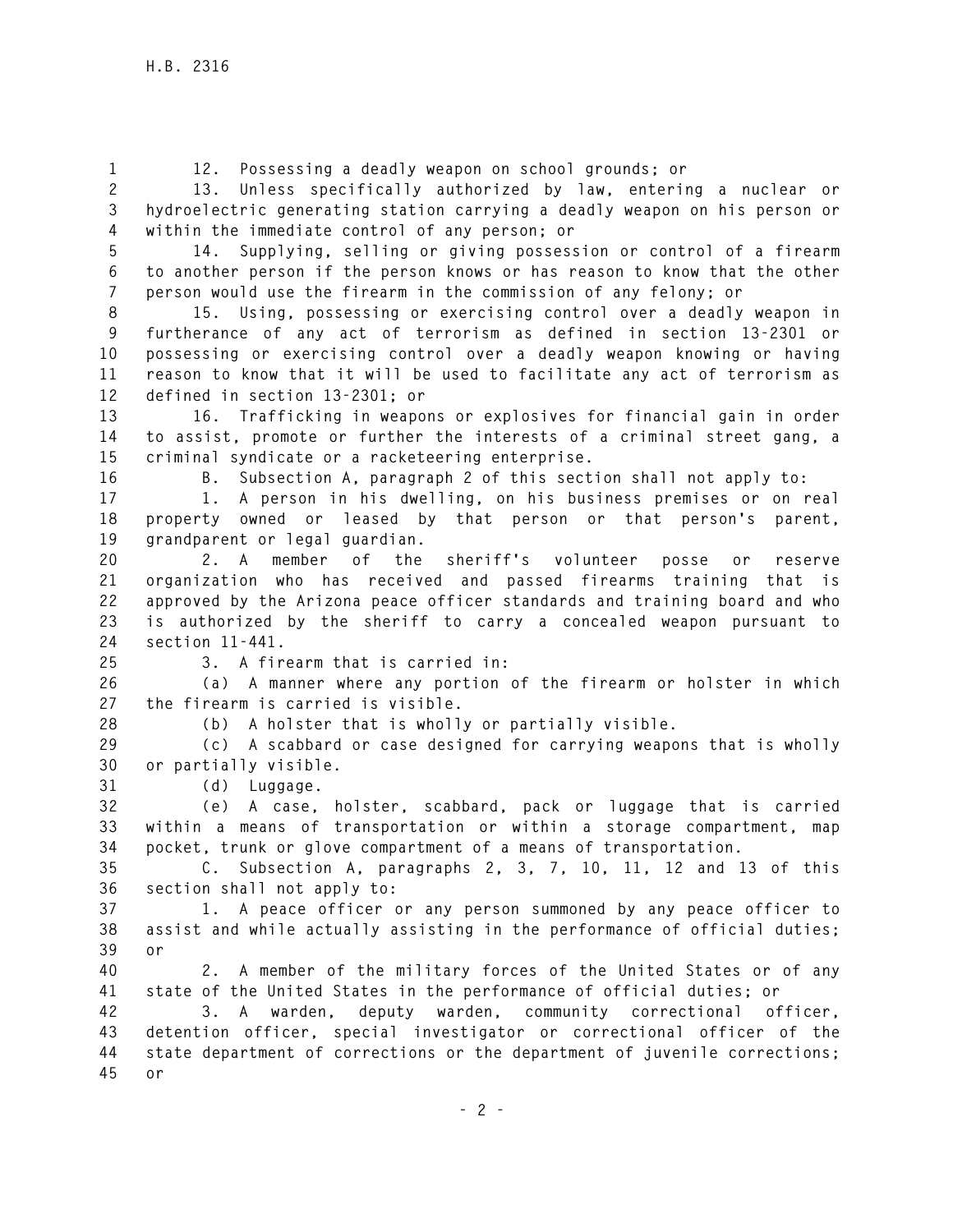**1 12. Possessing a deadly weapon on school grounds; or** 

**2 13. Unless specifically authorized by law, entering a nuclear or 3 hydroelectric generating station carrying a deadly weapon on his person or 4 within the immediate control of any person; or** 

**5 14. Supplying, selling or giving possession or control of a firearm 6 to another person if the person knows or has reason to know that the other 7 person would use the firearm in the commission of any felony; or** 

**8 15. Using, possessing or exercising control over a deadly weapon in 9 furtherance of any act of terrorism as defined in section 13-2301 or 10 possessing or exercising control over a deadly weapon knowing or having 11 reason to know that it will be used to facilitate any act of terrorism as 12 defined in section 13-2301; or** 

**13 16. Trafficking in weapons or explosives for financial gain in order 14 to assist, promote or further the interests of a criminal street gang, a 15 criminal syndicate or a racketeering enterprise.** 

**16 B. Subsection A, paragraph 2 of this section shall not apply to:** 

**17 1. A person in his dwelling, on his business premises or on real 18 property owned or leased by that person or that person's parent, 19 grandparent or legal guardian.** 

**20 2. A member of the sheriff's volunteer posse or reserve 21 organization who has received and passed firearms training that is 22 approved by the Arizona peace officer standards and training board and who 23 is authorized by the sheriff to carry a concealed weapon pursuant to 24 section 11-441.** 

**25 3. A firearm that is carried in:** 

**26 (a) A manner where any portion of the firearm or holster in which 27 the firearm is carried is visible.** 

**28 (b) A holster that is wholly or partially visible.** 

**29 (c) A scabbard or case designed for carrying weapons that is wholly 30 or partially visible.** 

**31 (d) Luggage.** 

**32 (e) A case, holster, scabbard, pack or luggage that is carried 33 within a means of transportation or within a storage compartment, map 34 pocket, trunk or glove compartment of a means of transportation.** 

**35 C. Subsection A, paragraphs 2, 3, 7, 10, 11, 12 and 13 of this 36 section shall not apply to:** 

**37 1. A peace officer or any person summoned by any peace officer to 38 assist and while actually assisting in the performance of official duties; 39 or** 

**40 2. A member of the military forces of the United States or of any 41 state of the United States in the performance of official duties; or** 

**42 3. A warden, deputy warden, community correctional officer, 43 detention officer, special investigator or correctional officer of the 44 state department of corrections or the department of juvenile corrections; 45 or**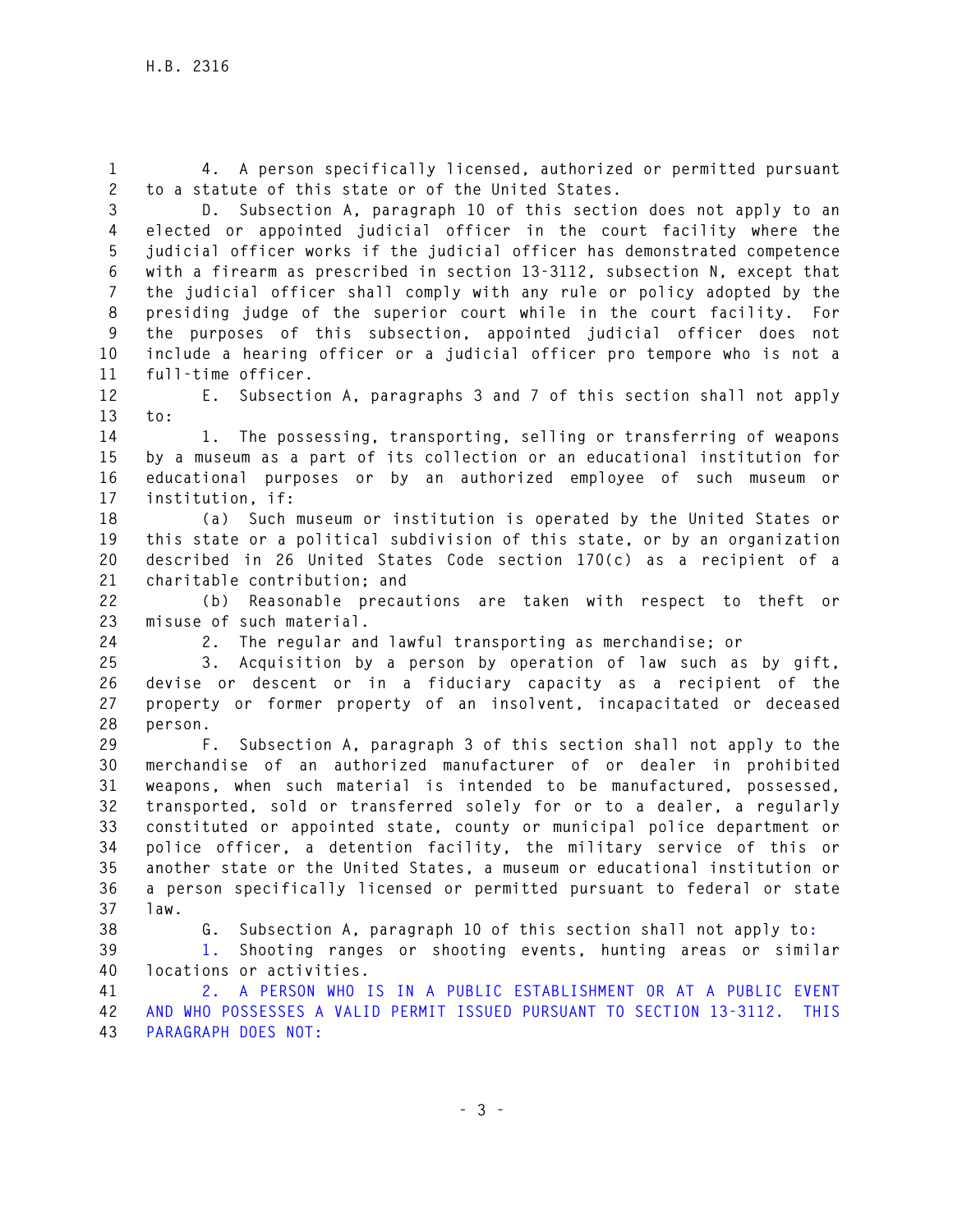**1 4. A person specifically licensed, authorized or permitted pursuant 2 to a statute of this state or of the United States.** 

**3 D. Subsection A, paragraph 10 of this section does not apply to an 4 elected or appointed judicial officer in the court facility where the 5 judicial officer works if the judicial officer has demonstrated competence 6 with a firearm as prescribed in section 13-3112, subsection N, except that 7 the judicial officer shall comply with any rule or policy adopted by the 8 presiding judge of the superior court while in the court facility. For 9 the purposes of this subsection, appointed judicial officer does not 10 include a hearing officer or a judicial officer pro tempore who is not a 11 full-time officer.** 

**12 E. Subsection A, paragraphs 3 and 7 of this section shall not apply 13 to:** 

**14 1. The possessing, transporting, selling or transferring of weapons 15 by a museum as a part of its collection or an educational institution for 16 educational purposes or by an authorized employee of such museum or 17 institution, if:** 

**18 (a) Such museum or institution is operated by the United States or 19 this state or a political subdivision of this state, or by an organization 20 described in 26 United States Code section 170(c) as a recipient of a 21 charitable contribution; and** 

**22 (b) Reasonable precautions are taken with respect to theft or 23 misuse of such material.** 

**24 2. The regular and lawful transporting as merchandise; or** 

**25 3. Acquisition by a person by operation of law such as by gift, 26 devise or descent or in a fiduciary capacity as a recipient of the 27 property or former property of an insolvent, incapacitated or deceased 28 person.** 

**29 F. Subsection A, paragraph 3 of this section shall not apply to the 30 merchandise of an authorized manufacturer of or dealer in prohibited 31 weapons, when such material is intended to be manufactured, possessed, 32 transported, sold or transferred solely for or to a dealer, a regularly 33 constituted or appointed state, county or municipal police department or 34 police officer, a detention facility, the military service of this or 35 another state or the United States, a museum or educational institution or 36 a person specifically licensed or permitted pursuant to federal or state 37 law.** 

**38 G. Subsection A, paragraph 10 of this section shall not apply to:** 

**39 1. Shooting ranges or shooting events, hunting areas or similar 40 locations or activities.** 

**41 2. A PERSON WHO IS IN A PUBLIC ESTABLISHMENT OR AT A PUBLIC EVENT 42 AND WHO POSSESSES A VALID PERMIT ISSUED PURSUANT TO SECTION 13-3112. THIS 43 PARAGRAPH DOES NOT:**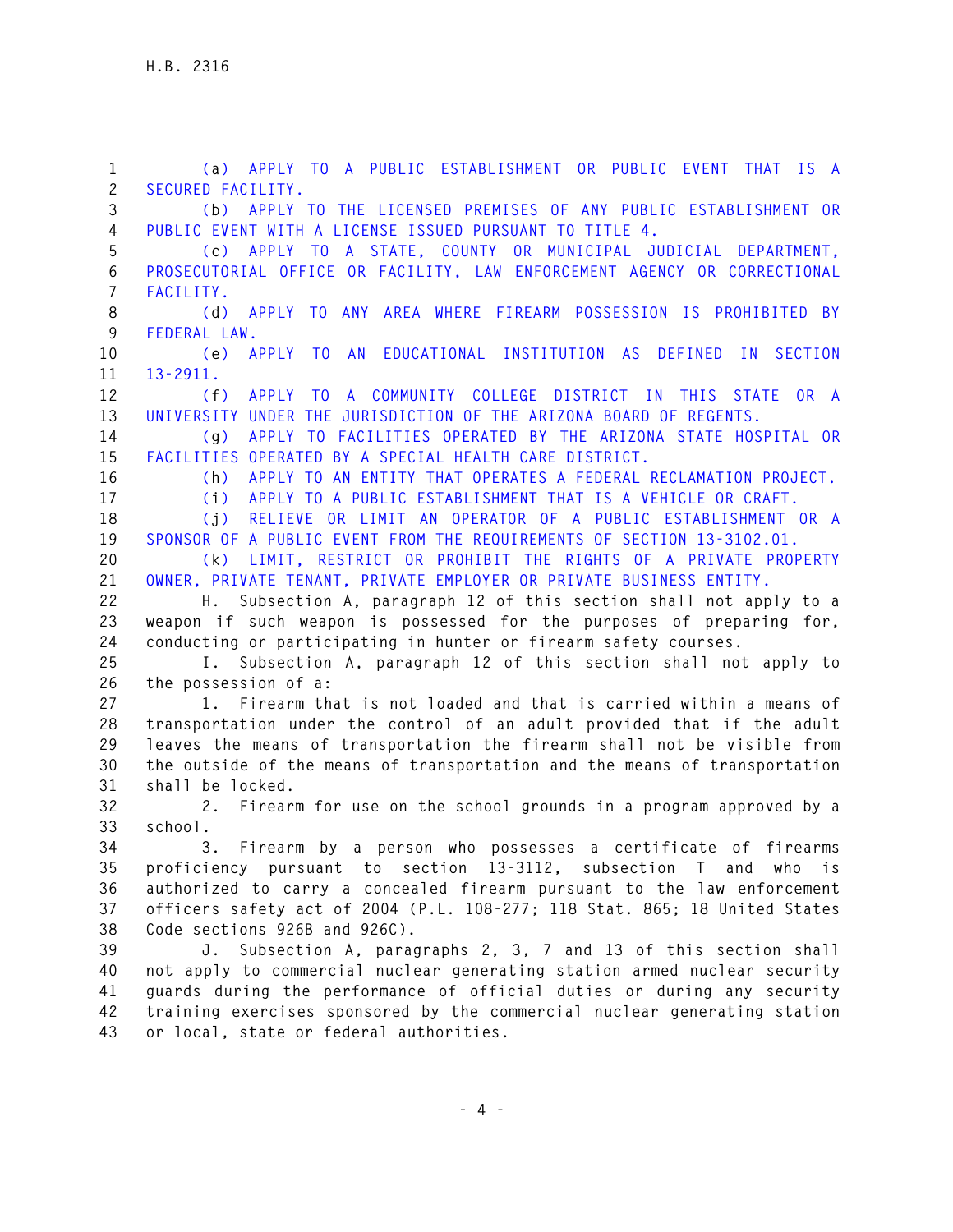**1 (a) APPLY TO A PUBLIC ESTABLISHMENT OR PUBLIC EVENT THAT IS A 2 SECURED FACILITY. 3 (b) APPLY TO THE LICENSED PREMISES OF ANY PUBLIC ESTABLISHMENT OR 4 PUBLIC EVENT WITH A LICENSE ISSUED PURSUANT TO TITLE 4. 5 (c) APPLY TO A STATE, COUNTY OR MUNICIPAL JUDICIAL DEPARTMENT, 6 PROSECUTORIAL OFFICE OR FACILITY, LAW ENFORCEMENT AGENCY OR CORRECTIONAL 7 FACILITY. 8 (d) APPLY TO ANY AREA WHERE FIREARM POSSESSION IS PROHIBITED BY 9 FEDERAL LAW. 10 (e) APPLY TO AN EDUCATIONAL INSTITUTION AS DEFINED IN SECTION 11 13-2911. 12 (f) APPLY TO A COMMUNITY COLLEGE DISTRICT IN THIS STATE OR A 13 UNIVERSITY UNDER THE JURISDICTION OF THE ARIZONA BOARD OF REGENTS. 14 (g) APPLY TO FACILITIES OPERATED BY THE ARIZONA STATE HOSPITAL OR 15 FACILITIES OPERATED BY A SPECIAL HEALTH CARE DISTRICT. 16 (h) APPLY TO AN ENTITY THAT OPERATES A FEDERAL RECLAMATION PROJECT. 17 (i) APPLY TO A PUBLIC ESTABLISHMENT THAT IS A VEHICLE OR CRAFT. 18 (j) RELIEVE OR LIMIT AN OPERATOR OF A PUBLIC ESTABLISHMENT OR A 19 SPONSOR OF A PUBLIC EVENT FROM THE REQUIREMENTS OF SECTION 13-3102.01. 20 (k) LIMIT, RESTRICT OR PROHIBIT THE RIGHTS OF A PRIVATE PROPERTY 21 OWNER, PRIVATE TENANT, PRIVATE EMPLOYER OR PRIVATE BUSINESS ENTITY. 22 H. Subsection A, paragraph 12 of this section shall not apply to a 23 weapon if such weapon is possessed for the purposes of preparing for, 24 conducting or participating in hunter or firearm safety courses. 25 I. Subsection A, paragraph 12 of this section shall not apply to 26 the possession of a: 27 1. Firearm that is not loaded and that is carried within a means of 28 transportation under the control of an adult provided that if the adult 29 leaves the means of transportation the firearm shall not be visible from 30 the outside of the means of transportation and the means of transportation 31 shall be locked. 32 2. Firearm for use on the school grounds in a program approved by a 33 school. 34 3. Firearm by a person who possesses a certificate of firearms 35 proficiency pursuant to section 13-3112, subsection T and who is 36 authorized to carry a concealed firearm pursuant to the law enforcement 37 officers safety act of 2004 (P.L. 108-277; 118 Stat. 865; 18 United States 38 Code sections 926B and 926C). 39 J. Subsection A, paragraphs 2, 3, 7 and 13 of this section shall 40 not apply to commercial nuclear generating station armed nuclear security 41 guards during the performance of official duties or during any security 42 training exercises sponsored by the commercial nuclear generating station 43 or local, state or federal authorities.**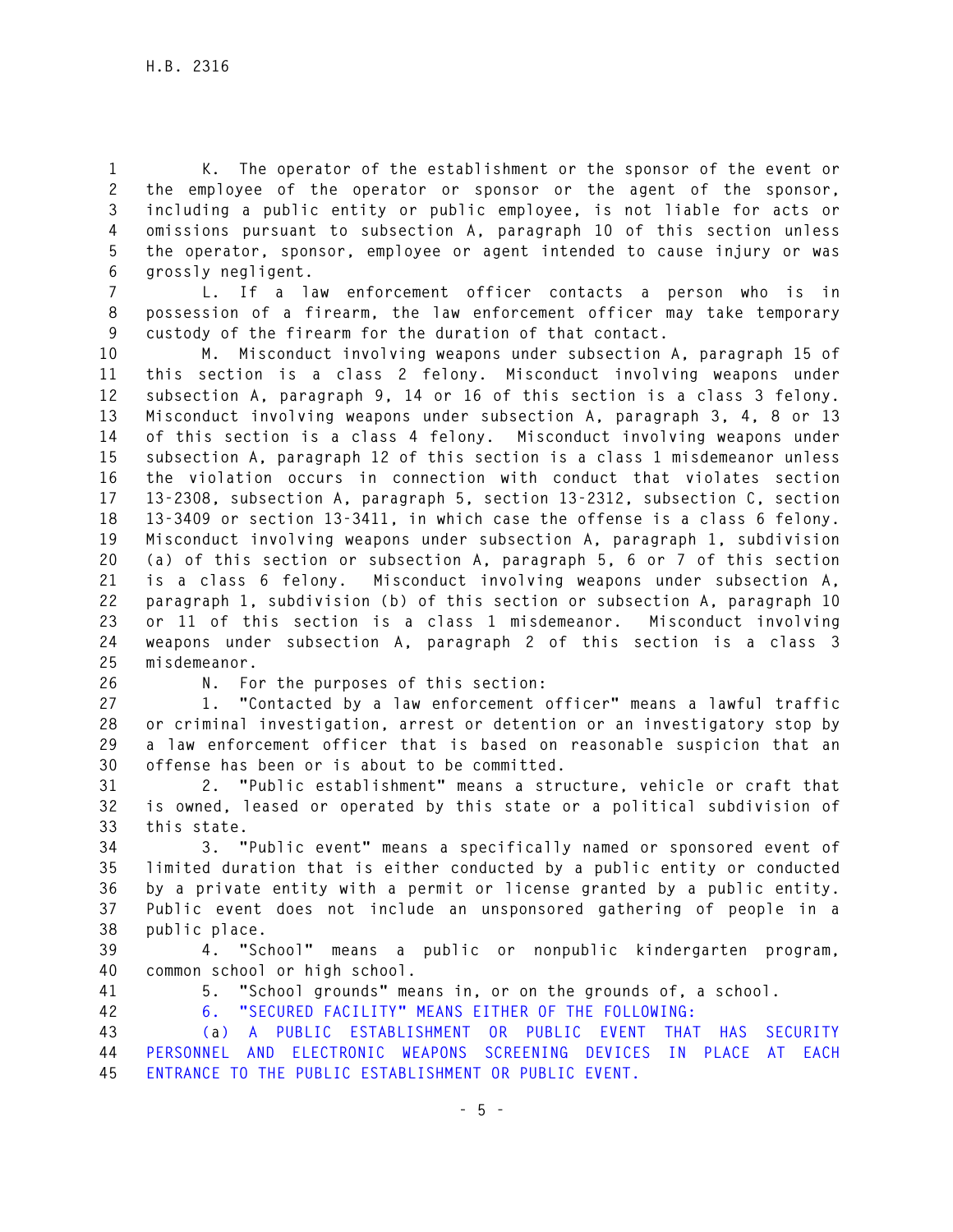**1 K. The operator of the establishment or the sponsor of the event or 2 the employee of the operator or sponsor or the agent of the sponsor, 3 including a public entity or public employee, is not liable for acts or 4 omissions pursuant to subsection A, paragraph 10 of this section unless 5 the operator, sponsor, employee or agent intended to cause injury or was 6 grossly negligent.** 

**7 L. If a law enforcement officer contacts a person who is in 8 possession of a firearm, the law enforcement officer may take temporary 9 custody of the firearm for the duration of that contact.** 

**10 M. Misconduct involving weapons under subsection A, paragraph 15 of 11 this section is a class 2 felony. Misconduct involving weapons under 12 subsection A, paragraph 9, 14 or 16 of this section is a class 3 felony. 13 Misconduct involving weapons under subsection A, paragraph 3, 4, 8 or 13 14 of this section is a class 4 felony. Misconduct involving weapons under 15 subsection A, paragraph 12 of this section is a class 1 misdemeanor unless 16 the violation occurs in connection with conduct that violates section 17 13-2308, subsection A, paragraph 5, section 13-2312, subsection C, section 18 13-3409 or section 13-3411, in which case the offense is a class 6 felony. 19 Misconduct involving weapons under subsection A, paragraph 1, subdivision 20 (a) of this section or subsection A, paragraph 5, 6 or 7 of this section 21 is a class 6 felony. Misconduct involving weapons under subsection A, 22 paragraph 1, subdivision (b) of this section or subsection A, paragraph 10 23 or 11 of this section is a class 1 misdemeanor. Misconduct involving 24 weapons under subsection A, paragraph 2 of this section is a class 3 25 misdemeanor.** 

**26 N. For the purposes of this section:** 

**27 1. "Contacted by a law enforcement officer" means a lawful traffic 28 or criminal investigation, arrest or detention or an investigatory stop by 29 a law enforcement officer that is based on reasonable suspicion that an 30 offense has been or is about to be committed.** 

**31 2. "Public establishment" means a structure, vehicle or craft that 32 is owned, leased or operated by this state or a political subdivision of 33 this state.** 

**34 3. "Public event" means a specifically named or sponsored event of 35 limited duration that is either conducted by a public entity or conducted 36 by a private entity with a permit or license granted by a public entity. 37 Public event does not include an unsponsored gathering of people in a 38 public place.** 

**39 4. "School" means a public or nonpublic kindergarten program, 40 common school or high school.** 

**41 5. "School grounds" means in, or on the grounds of, a school.** 

**42 6. "SECURED FACILITY" MEANS EITHER OF THE FOLLOWING:** 

**43 (a) A PUBLIC ESTABLISHMENT OR PUBLIC EVENT THAT HAS SECURITY 44 PERSONNEL AND ELECTRONIC WEAPONS SCREENING DEVICES IN PLACE AT EACH 45 ENTRANCE TO THE PUBLIC ESTABLISHMENT OR PUBLIC EVENT.**